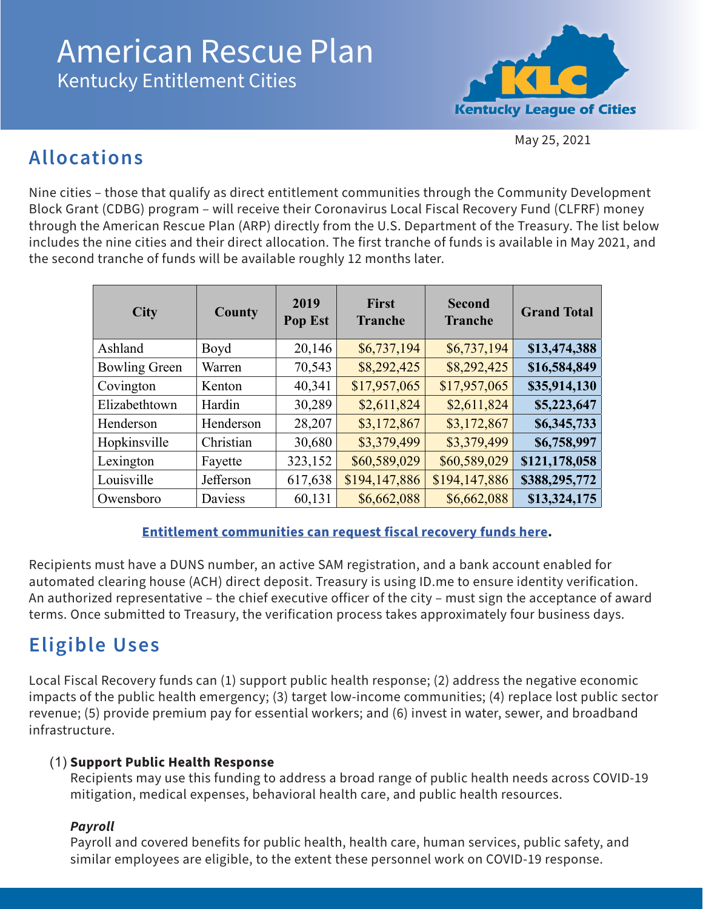# American Rescue Plan Kentucky Entitlement Cities



May 25, 2021

# **Allocations**

Nine cities – those that qualify as direct entitlement communities through the Community Development Block Grant (CDBG) program – will receive their Coronavirus Local Fiscal Recovery Fund (CLFRF) money through the American Rescue Plan (ARP) directly from the U.S. Department of the Treasury. The list below includes the nine cities and their direct allocation. The first tranche of funds is available in May 2021, and the second tranche of funds will be available roughly 12 months later.

| <b>City</b>          | County    | 2019<br>Pop Est | <b>First</b><br><b>Tranche</b> | <b>Second</b><br><b>Tranche</b> | <b>Grand Total</b> |
|----------------------|-----------|-----------------|--------------------------------|---------------------------------|--------------------|
| Ashland              | Boyd      | 20,146          | \$6,737,194                    | \$6,737,194                     | \$13,474,388       |
| <b>Bowling Green</b> | Warren    | 70,543          | \$8,292,425                    | \$8,292,425                     | \$16,584,849       |
| Covington            | Kenton    | 40,341          | \$17,957,065                   | \$17,957,065                    | \$35,914,130       |
| Elizabethtown        | Hardin    | 30,289          | \$2,611,824                    | \$2,611,824                     | \$5,223,647        |
| Henderson            | Henderson | 28,207          | \$3,172,867                    | \$3,172,867                     | \$6,345,733        |
| Hopkinsville         | Christian | 30,680          | \$3,379,499                    | \$3,379,499                     | \$6,758,997        |
| Lexington            | Fayette   | 323,152         | \$60,589,029                   | \$60,589,029                    | \$121,178,058      |
| Louisville           | Jefferson | 617,638         | \$194,147,886                  | \$194,147,886                   | \$388,295,772      |
| Owensboro            | Daviess   | 60,131          | \$6,662,088                    | \$6,662,088                     | \$13,324,175       |

#### **[Entitlement communities can request fiscal recovery funds here](https://home.treasury.gov/policy-issues/coronavirus/assistance-for-state-local-and-tribal-governments/state-and-local-fiscal-recovery-funds).**

Recipients must have a DUNS number, an active SAM registration, and a bank account enabled for automated clearing house (ACH) direct deposit. Treasury is using ID.me to ensure identity verification. An authorized representative – the chief executive officer of the city – must sign the acceptance of award terms. Once submitted to Treasury, the verification process takes approximately four business days.

# **Eligible Uses**

Local Fiscal Recovery funds can (1) support public health response; (2) address the negative economic impacts of the public health emergency; (3) target low-income communities; (4) replace lost public sector revenue; (5) provide premium pay for essential workers; and (6) invest in water, sewer, and broadband infrastructure.

#### (1) **Support Public Health Response**

Recipients may use this funding to address a broad range of public health needs across COVID-19 mitigation, medical expenses, behavioral health care, and public health resources.

#### *Payroll*

Payroll and covered benefits for public health, health care, human services, public safety, and similar employees are eligible, to the extent these personnel work on COVID-19 response.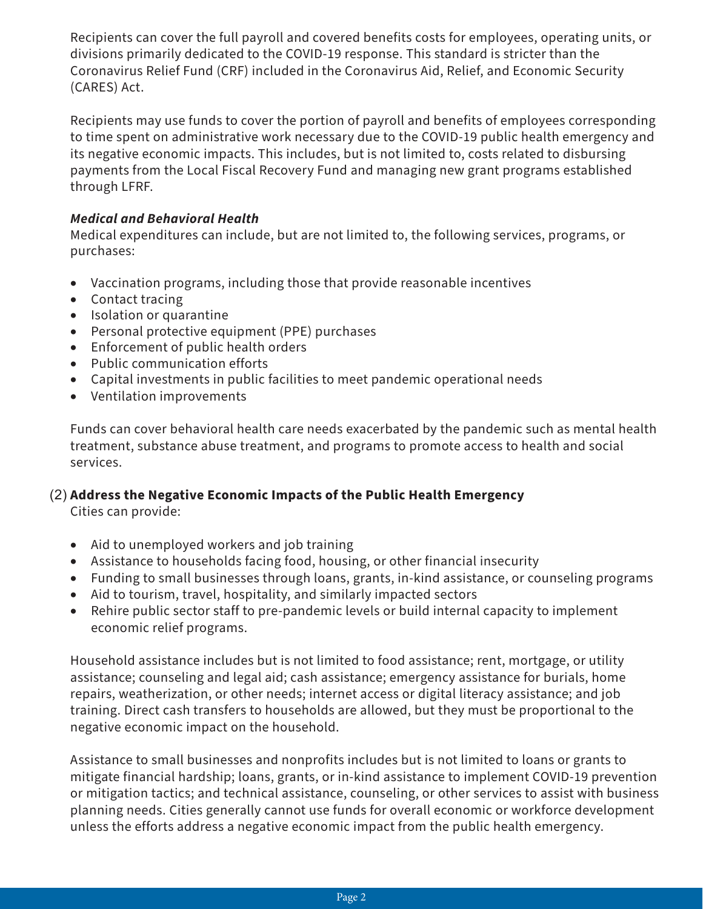Recipients can cover the full payroll and covered benefits costs for employees, operating units, or divisions primarily dedicated to the COVID-19 response. This standard is stricter than the Coronavirus Relief Fund (CRF) included in the Coronavirus Aid, Relief, and Economic Security (CARES) Act.

Recipients may use funds to cover the portion of payroll and benefits of employees corresponding to time spent on administrative work necessary due to the COVID-19 public health emergency and its negative economic impacts. This includes, but is not limited to, costs related to disbursing payments from the Local Fiscal Recovery Fund and managing new grant programs established through LFRF.

#### *Medical and Behavioral Health*

Medical expenditures can include, but are not limited to, the following services, programs, or purchases:

- Vaccination programs, including those that provide reasonable incentives
- Contact tracing
- • Isolation or quarantine
- Personal protective equipment (PPE) purchases
- • Enforcement of public health orders
- • Public communication efforts
- Capital investments in public facilities to meet pandemic operational needs
- • Ventilation improvements

Funds can cover behavioral health care needs exacerbated by the pandemic such as mental health treatment, substance abuse treatment, and programs to promote access to health and social services.

#### (2) **Address the Negative Economic Impacts of the Public Health Emergency**

Cities can provide:

- Aid to unemployed workers and job training
- Assistance to households facing food, housing, or other financial insecurity
- Funding to small businesses through loans, grants, in-kind assistance, or counseling programs
- Aid to tourism, travel, hospitality, and similarly impacted sectors
- Rehire public sector staff to pre-pandemic levels or build internal capacity to implement economic relief programs.

Household assistance includes but is not limited to food assistance; rent, mortgage, or utility assistance; counseling and legal aid; cash assistance; emergency assistance for burials, home repairs, weatherization, or other needs; internet access or digital literacy assistance; and job training. Direct cash transfers to households are allowed, but they must be proportional to the negative economic impact on the household.

Assistance to small businesses and nonprofits includes but is not limited to loans or grants to mitigate financial hardship; loans, grants, or in-kind assistance to implement COVID-19 prevention or mitigation tactics; and technical assistance, counseling, or other services to assist with business planning needs. Cities generally cannot use funds for overall economic or workforce development unless the efforts address a negative economic impact from the public health emergency.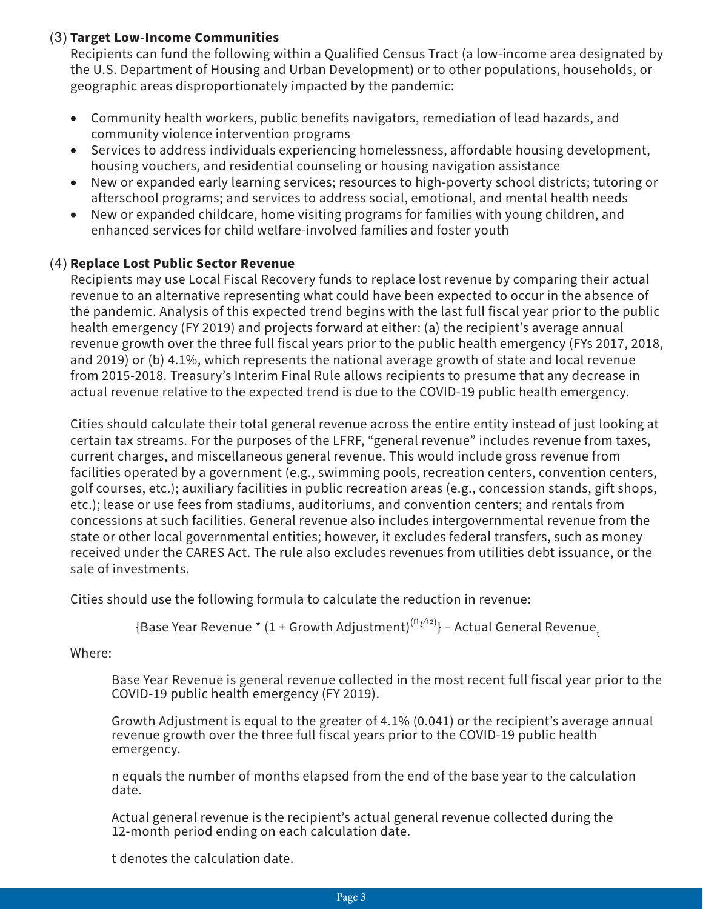#### (3) **Target Low-Income Communities**

Recipients can fund the following within a Qualified Census Tract (a low-income area designated by the U.S. Department of Housing and Urban Development) or to other populations, households, or geographic areas disproportionately impacted by the pandemic:

- Community health workers, public benefits navigators, remediation of lead hazards, and community violence intervention programs
- Services to address individuals experiencing homelessness, affordable housing development, housing vouchers, and residential counseling or housing navigation assistance
- New or expanded early learning services; resources to high-poverty school districts; tutoring or afterschool programs; and services to address social, emotional, and mental health needs
- New or expanded childcare, home visiting programs for families with young children, and enhanced services for child welfare-involved families and foster youth

#### (4) **Replace Lost Public Sector Revenue**

Recipients may use Local Fiscal Recovery funds to replace lost revenue by comparing their actual revenue to an alternative representing what could have been expected to occur in the absence of the pandemic. Analysis of this expected trend begins with the last full fiscal year prior to the public health emergency (FY 2019) and projects forward at either: (a) the recipient's average annual revenue growth over the three full fiscal years prior to the public health emergency (FYs 2017, 2018, and 2019) or (b) 4.1%, which represents the national average growth of state and local revenue from 2015-2018. Treasury's Interim Final Rule allows recipients to presume that any decrease in actual revenue relative to the expected trend is due to the COVID-19 public health emergency.

Cities should calculate their total general revenue across the entire entity instead of just looking at certain tax streams. For the purposes of the LFRF, "general revenue" includes revenue from taxes, current charges, and miscellaneous general revenue. This would include gross revenue from facilities operated by a government (e.g., swimming pools, recreation centers, convention centers, golf courses, etc.); auxiliary facilities in public recreation areas (e.g., concession stands, gift shops, etc.); lease or use fees from stadiums, auditoriums, and convention centers; and rentals from concessions at such facilities. General revenue also includes intergovernmental revenue from the state or other local governmental entities; however, it excludes federal transfers, such as money received under the CARES Act. The rule also excludes revenues from utilities debt issuance, or the sale of investments.

Cities should use the following formula to calculate the reduction in revenue:

{Base Year Revenue \* (1 + Growth Adjustment) $^{\mathsf{(n_{t'}\!\!+\!\!2)}}$ } – Actual General Revenue<sub>t</sub>

Where:

Base Year Revenue is general revenue collected in the most recent full fiscal year prior to the COVID-19 public health emergency (FY 2019).

Growth Adjustment is equal to the greater of 4.1% (0.041) or the recipient's average annual revenue growth over the three full fiscal years prior to the COVID-19 public health emergency.

n equals the number of months elapsed from the end of the base year to the calculation date.

Actual general revenue is the recipient's actual general revenue collected during the 12-month period ending on each calculation date.

t denotes the calculation date.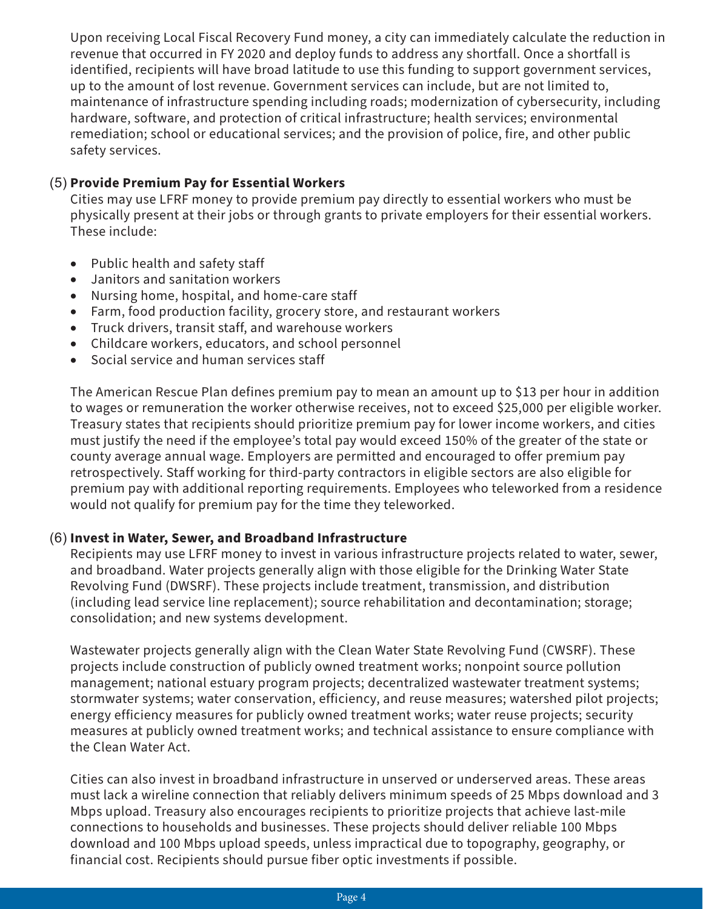Upon receiving Local Fiscal Recovery Fund money, a city can immediately calculate the reduction in revenue that occurred in FY 2020 and deploy funds to address any shortfall. Once a shortfall is identified, recipients will have broad latitude to use this funding to support government services, up to the amount of lost revenue. Government services can include, but are not limited to, maintenance of infrastructure spending including roads; modernization of cybersecurity, including hardware, software, and protection of critical infrastructure; health services; environmental remediation; school or educational services; and the provision of police, fire, and other public safety services.

#### (5) **Provide Premium Pay for Essential Workers**

Cities may use LFRF money to provide premium pay directly to essential workers who must be physically present at their jobs or through grants to private employers for their essential workers. These include:

- • Public health and safety staff
- • Janitors and sanitation workers
- Nursing home, hospital, and home-care staff
- Farm, food production facility, grocery store, and restaurant workers
- • Truck drivers, transit staff, and warehouse workers
- Childcare workers, educators, and school personnel
- Social service and human services staff

The American Rescue Plan defines premium pay to mean an amount up to \$13 per hour in addition to wages or remuneration the worker otherwise receives, not to exceed \$25,000 per eligible worker. Treasury states that recipients should prioritize premium pay for lower income workers, and cities must justify the need if the employee's total pay would exceed 150% of the greater of the state or county average annual wage. Employers are permitted and encouraged to offer premium pay retrospectively. Staff working for third-party contractors in eligible sectors are also eligible for premium pay with additional reporting requirements. Employees who teleworked from a residence would not qualify for premium pay for the time they teleworked.

#### (6) **Invest in Water, Sewer, and Broadband Infrastructure**

Recipients may use LFRF money to invest in various infrastructure projects related to water, sewer, and broadband. Water projects generally align with those eligible for the Drinking Water State Revolving Fund (DWSRF). These projects include treatment, transmission, and distribution (including lead service line replacement); source rehabilitation and decontamination; storage; consolidation; and new systems development.

Wastewater projects generally align with the Clean Water State Revolving Fund (CWSRF). These projects include construction of publicly owned treatment works; nonpoint source pollution management; national estuary program projects; decentralized wastewater treatment systems; stormwater systems; water conservation, efficiency, and reuse measures; watershed pilot projects; energy efficiency measures for publicly owned treatment works; water reuse projects; security measures at publicly owned treatment works; and technical assistance to ensure compliance with the Clean Water Act.

Cities can also invest in broadband infrastructure in unserved or underserved areas. These areas must lack a wireline connection that reliably delivers minimum speeds of 25 Mbps download and 3 Mbps upload. Treasury also encourages recipients to prioritize projects that achieve last-mile connections to households and businesses. These projects should deliver reliable 100 Mbps download and 100 Mbps upload speeds, unless impractical due to topography, geography, or financial cost. Recipients should pursue fiber optic investments if possible.